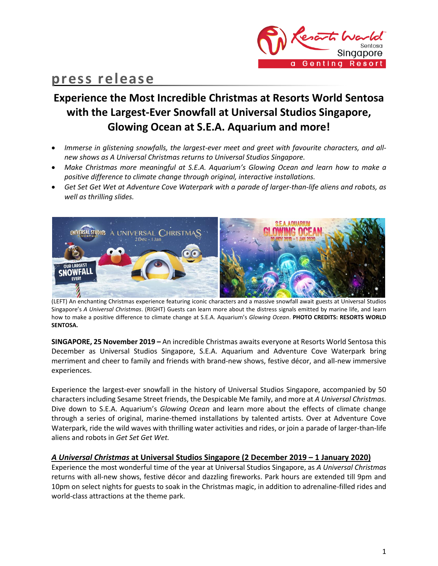

# **press release**

# **Experience the Most Incredible Christmas at Resorts World Sentosa with the Largest-Ever Snowfall at Universal Studios Singapore, Glowing Ocean at S.E.A. Aquarium and more!**

- *Immerse in glistening snowfalls, the largest-ever meet and greet with favourite characters, and allnew shows as A Universal Christmas returns to Universal Studios Singapore.*
- Make Christmas more meaningful at S.E.A. Aquarium's Glowing Ocean and learn how to make a *positive difference to climate change through original, interactive installations.*
- *Get Set Get Wet at Adventure Cove Waterpark with a parade of larger-than-life aliens and robots, as well as thrilling slides.*



(LEFT) An enchanting Christmas experience featuring iconic characters and a massive snowfall await guests at Universal Studios Singapore's *A Universal Christmas*. (RIGHT) Guests can learn more about the distress signals emitted by marine life, and learn how to make a positive difference to climate change at S.E.A. Aquarium's *Glowing Ocean*. **PHOTO CREDITS: RESORTS WORLD SENTOSA.**

**SINGAPORE, 25 November 2019 –** An incredible Christmas awaits everyone at Resorts World Sentosa this December as Universal Studios Singapore, S.E.A. Aquarium and Adventure Cove Waterpark bring merriment and cheer to family and friends with brand-new shows, festive décor, and all-new immersive experiences.

Experience the largest-ever snowfall in the history of Universal Studios Singapore, accompanied by 50 characters including Sesame Street friends, the Despicable Me family, and more at *A Universal Christmas.* Dive down to S.E.A. Aquarium's *Glowing Ocean* and learn more about the effects of climate change through a series of original, marine-themed installations by talented artists. Over at Adventure Cove Waterpark, ride the wild waves with thrilling water activities and rides, or join a parade of larger-than-life aliens and robots in *Get Set Get Wet.*

### *A Universal Christmas* **at Universal Studios Singapore (2 December 2019 – 1 January 2020)**

Experience the most wonderful time of the year at Universal Studios Singapore, as *A Universal Christmas* returns with all-new shows, festive décor and dazzling fireworks. Park hours are extended till 9pm and 10pm on select nights for guests to soak in the Christmas magic, in addition to adrenaline-filled rides and world-class attractions at the theme park.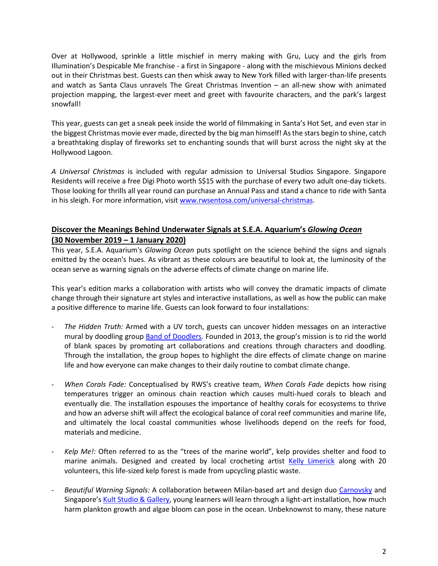Over at Hollywood, sprinkle a little mischief in merry making with Gru, Lucy and the girls from Illumination's Despicable Me franchise - a first in Singapore - along with the mischievous Minions decked out in their Christmas best. Guests can then whisk away to New York filled with larger-than-life presents and watch as Santa Claus unravels The Great Christmas Invention – an all-new show with animated projection mapping, the largest-ever meet and greet with favourite characters, and the park's largest snowfall!

This year, guests can get a sneak peek inside the world of filmmaking in Santa's Hot Set, and even star in the biggest Christmas movie ever made, directed by the big man himself! As the stars begin to shine, catch a breathtaking display of fireworks set to enchanting sounds that will burst across the night sky at the Hollywood Lagoon.

*A Universal Christmas* is included with regular admission to Universal Studios Singapore. Singapore Residents will receive a free Digi Photo worth S\$15 with the purchase of every two adult one-day tickets. Those looking for thrills all year round can purchase an Annual Pass and stand a chance to ride with Santa in his sleigh. For more information, visit [www.rwsentosa.com/universal-christmas.](file:///C:/Users/702327720/AppData/Local/Microsoft/Windows/INetCache/Content.Outlook/LR6X1BRZ/www.rwsentosa.com/universal-christmas)

## **Discover the Meanings Behind Underwater Signals at S.E.A. Aquarium's** *Glowing Ocean* **(30 November 2019 – 1 January 2020)**

This year, S.E.A. Aquarium's *Glowing Ocean* puts spotlight on the science behind the signs and signals emitted by the ocean's hues. As vibrant as these colours are beautiful to look at, the luminosity of the ocean serve as warning signals on the adverse effects of climate change on marine life.

This year's edition marks a collaboration with artists who will convey the dramatic impacts of climate change through their signature art styles and interactive installations, as well as how the public can make a positive difference to marine life. Guests can look forward to four installations:

- *The Hidden Truth:* Armed with a UV torch, guests can uncover hidden messages on an interactive mural by doodling group [Band of Doodlers.](https://www.instagram.com/bandofdoodlers/?hl=en) Founded in 2013, the group's mission is to rid the world of blank spaces by promoting art collaborations and creations through characters and doodling. Through the installation, the group hopes to highlight the dire effects of climate change on marine life and how everyone can make changes to their daily routine to combat climate change.
- *When Corals Fade:* Conceptualised by RWS's creative team, *When Corals Fade* depicts how rising temperatures trigger an ominous chain reaction which causes multi-hued corals to bleach and eventually die. The installation espouses the importance of healthy corals for ecosystems to thrive and how an adverse shift will affect the ecological balance of coral reef communities and marine life, and ultimately the local coastal communities whose livelihoods depend on the reefs for food, materials and medicine.
- Kelp Me!: Often referred to as the "trees of the marine world", kelp provides shelter and food to marine animals. Designed and created by local crocheting artist [Kelly Limerick](https://www.instagram.com/kllylmrck/?hl=en) along with 20 volunteers, this life-sized kelp forest is made from upcycling plastic waste.
- Beautiful Warning Signals: A collaboration between Milan-based art and design duo [Carnovsky](https://www.instagram.com/_carnovsky_/?hl=en) and Singapore's [Kult Studio & Gallery,](https://www.instagram.com/kult.gallery/?hl=en) young learners will learn through a light-art installation, how much harm plankton growth and algae bloom can pose in the ocean. Unbeknownst to many, these nature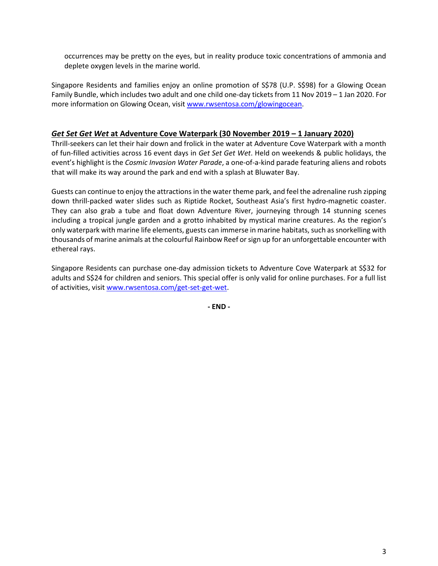occurrences may be pretty on the eyes, but in reality produce toxic concentrations of ammonia and deplete oxygen levels in the marine world.

Singapore Residents and families enjoy an online promotion of S\$78 (U.P. S\$98) for a Glowing Ocean Family Bundle, which includes two adult and one child one-day tickets from 11 Nov 2019 – 1 Jan 2020. For more information on Glowing Ocean, visit [www.rwsentosa.com/glowingocean.](http://www.rwsentosa.com/glowingocean)

## *Get Set Get Wet* **at Adventure Cove Waterpark (30 November 2019 – 1 January 2020)**

Thrill-seekers can let their hair down and frolick in the water at Adventure Cove Waterpark with a month of fun-filled activities across 16 event days in *Get Set Get Wet*. Held on weekends & public holidays, the event's highlight is the *Cosmic Invasion Water Parade*, a one-of-a-kind parade featuring aliens and robots that will make its way around the park and end with a splash at Bluwater Bay.

Guests can continue to enjoy the attractions in the water theme park, and feel the adrenaline rush zipping down thrill-packed water slides such as Riptide Rocket, Southeast Asia's first hydro-magnetic coaster. They can also grab a tube and float down Adventure River, journeying through 14 stunning scenes including a tropical jungle garden and a grotto inhabited by mystical marine creatures. As the region's only waterpark with marine life elements, guests can immerse in marine habitats, such as snorkelling with thousands of marine animals at the colourful Rainbow Reef or sign up for an unforgettable encounter with ethereal rays.

Singapore Residents can purchase one-day admission tickets to Adventure Cove Waterpark at S\$32 for adults and S\$24 for children and seniors. This special offer is only valid for online purchases. For a full list of activities, visit [www.rwsentosa.com/get-set-get-wet.](http://www.rwsentosa.com/get-set-get-wet)

**- END -**